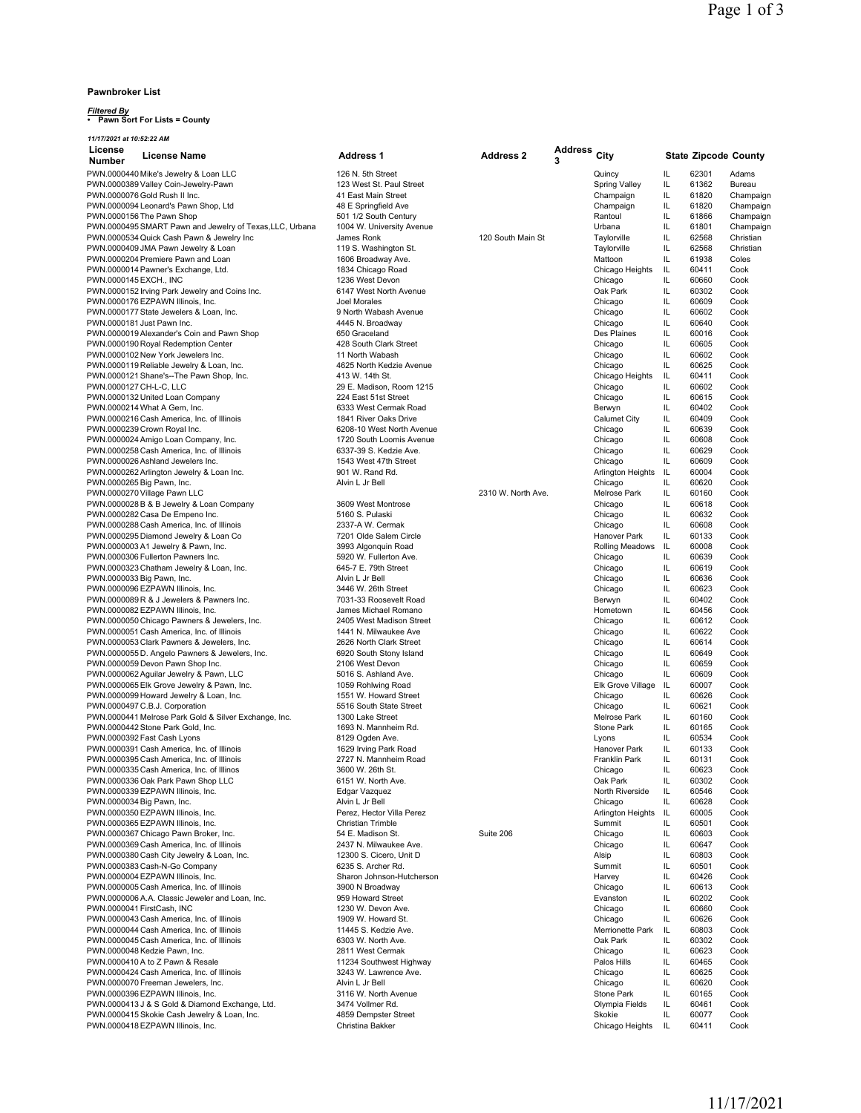#### **Pawnbroker List**

# *Filtered By* **• Pawn Sort For Lists = County**

| 11/17/2021 at 10:52:22 AM      |                                                                                          |                                                    |                    |                     |                                        |           |                             |                        |
|--------------------------------|------------------------------------------------------------------------------------------|----------------------------------------------------|--------------------|---------------------|----------------------------------------|-----------|-----------------------------|------------------------|
| License<br><b>Number</b>       | <b>License Name</b>                                                                      | <b>Address 1</b>                                   | <b>Address 2</b>   | <b>Address</b><br>3 | City                                   |           | <b>State Zipcode County</b> |                        |
|                                | PWN.0000440 Mike's Jewelry & Loan LLC                                                    | 126 N. 5th Street                                  |                    |                     | Quincy                                 | IL        | 62301                       | Adams                  |
|                                | PWN.0000389 Valley Coin-Jewelry-Pawn                                                     | 123 West St. Paul Street                           |                    |                     | Spring Valley                          | IL        | 61362                       | Bureau                 |
| PWN.0000076 Gold Rush II Inc.  | PWN.0000094 Leonard's Pawn Shop, Ltd                                                     | 41 East Main Street<br>48 E Springfield Ave        |                    |                     | Champaign<br>Champaign                 | IL<br>IL  | 61820<br>61820              | Champaign<br>Champaign |
| PWN.0000156 The Pawn Shop      |                                                                                          | 501 1/2 South Century                              |                    |                     | Rantoul                                | IL        | 61866                       | Champaign              |
|                                | PWN.0000495 SMART Pawn and Jewelry of Texas, LLC, Urbana                                 | 1004 W. University Avenue                          |                    |                     | Urbana                                 | IL        | 61801                       | Champaign              |
|                                | PWN.0000534 Quick Cash Pawn & Jewelry Inc                                                | James Ronk                                         | 120 South Main St  |                     | Taylorville                            | IL        | 62568                       | Christian              |
|                                | PWN.0000409 JMA Pawn Jewelry & Loan                                                      | 119 S. Washington St.                              |                    |                     | Taylorville                            | IL        | 62568                       | Christian              |
|                                | PWN.0000204 Premiere Pawn and Loan                                                       | 1606 Broadway Ave.                                 |                    |                     | Mattoon                                | IL        | 61938                       | Coles                  |
| PWN.0000145 EXCH., INC         | PWN.0000014 Pawner's Exchange, Ltd.                                                      | 1834 Chicago Road<br>1236 West Devon               |                    |                     | Chicago Heights<br>Chicago             | IL<br>IL  | 60411<br>60660              | Cook<br>Cook           |
|                                | PWN.0000152 Irving Park Jewelry and Coins Inc.                                           | 6147 West North Avenue                             |                    |                     | Oak Park                               | IL        | 60302                       | Cook                   |
|                                | PWN.0000176 EZPAWN Illinois, Inc.                                                        | Joel Morales                                       |                    |                     | Chicago                                | IL        | 60609                       | Cook                   |
|                                | PWN.0000177 State Jewelers & Loan, Inc.                                                  | 9 North Wabash Avenue                              |                    |                     | Chicago                                | IL        | 60602                       | Cook                   |
| PWN.0000181 Just Pawn Inc.     |                                                                                          | 4445 N. Broadway                                   |                    |                     | Chicago                                | IL        | 60640                       | Cook                   |
|                                | PWN.0000019 Alexander's Coin and Pawn Shop                                               | 650 Graceland                                      |                    |                     | Des Plaines                            | IL        | 60016                       | Cook                   |
|                                | PWN.0000190 Royal Redemption Center                                                      | 428 South Clark Street                             |                    |                     | Chicago                                | IL        | 60605                       | Cook                   |
|                                | PWN.0000102 New York Jewelers Inc.<br>PWN.0000119 Reliable Jewelry & Loan, Inc.          | 11 North Wabash<br>4625 North Kedzie Avenue        |                    |                     | Chicago<br>Chicago                     | IL<br>IL  | 60602<br>60625              | Cook<br>Cook           |
|                                | PWN.0000121 Shane's--The Pawn Shop, Inc.                                                 | 413 W. 14th St.                                    |                    |                     | Chicago Heights                        | IL        | 60411                       | Cook                   |
| PWN.0000127 CH-L-C, LLC        |                                                                                          | 29 E. Madison, Room 1215                           |                    |                     | Chicago                                | IL        | 60602                       | Cook                   |
|                                | PWN.0000132 United Loan Company                                                          | 224 East 51st Street                               |                    |                     | Chicago                                | IL        | 60615                       | Cook                   |
| PWN.0000214 What A Gem, Inc.   |                                                                                          | 6333 West Cermak Road                              |                    |                     | Berwyn                                 | IL        | 60402                       | Cook                   |
|                                | PWN.0000216 Cash America, Inc. of Illinois                                               | 1841 River Oaks Drive                              |                    |                     | Calumet City                           | IL        | 60409                       | Cook                   |
| PWN.0000239 Crown Royal Inc.   |                                                                                          | 6208-10 West North Avenue                          |                    |                     | Chicago                                | IL        | 60639                       | Cook                   |
|                                | PWN.0000024 Amigo Loan Company, Inc.                                                     | 1720 South Loomis Avenue<br>6337-39 S. Kedzie Ave. |                    |                     | Chicago                                | IL        | 60608                       | Cook                   |
|                                | PWN.0000258 Cash America, Inc. of Illinois<br>PWN.0000026 Ashland Jewelers Inc.          | 1543 West 47th Street                              |                    |                     | Chicago<br>Chicago                     | IL<br>IL  | 60629<br>60609              | Cook<br>Cook           |
|                                | PWN.0000262 Arlington Jewelry & Loan Inc.                                                | 901 W. Rand Rd.                                    |                    |                     | Arlington Heights                      | IL        | 60004                       | Cook                   |
| PWN.0000265 Big Pawn, Inc.     |                                                                                          | Alvin L Jr Bell                                    |                    |                     | Chicago                                | IL        | 60620                       | Cook                   |
| PWN.0000270 Village Pawn LLC   |                                                                                          |                                                    | 2310 W. North Ave. |                     | Melrose Park                           | IL        | 60160                       | Cook                   |
|                                | PWN.0000028 B & B Jewelry & Loan Company                                                 | 3609 West Montrose                                 |                    |                     | Chicago                                | IL        | 60618                       | Cook                   |
|                                | PWN.0000282 Casa De Empeno Inc.                                                          | 5160 S. Pulaski                                    |                    |                     | Chicago                                | IL        | 60632                       | Cook                   |
|                                | PWN.0000288 Cash America, Inc. of Illinois                                               | 2337-A W. Cermak                                   |                    |                     | Chicago                                | IL        | 60608                       | Cook                   |
|                                | PWN.0000295 Diamond Jewelry & Loan Co<br>PWN.0000003 A1 Jewelry & Pawn, Inc.             | 7201 Olde Salem Circle<br>3993 Algonquin Road      |                    |                     | Hanover Park<br><b>Rolling Meadows</b> | IL<br>IL  | 60133<br>60008              | Cook<br>Cook           |
|                                | PWN.0000306 Fullerton Pawners Inc.                                                       | 5920 W. Fullerton Ave.                             |                    |                     | Chicago                                | IL        | 60639                       | Cook                   |
|                                | PWN.0000323 Chatham Jewelry & Loan, Inc.                                                 | 645-7 E. 79th Street                               |                    |                     | Chicago                                | IL        | 60619                       | Cook                   |
| PWN.0000033 Big Pawn, Inc.     |                                                                                          | Alvin L Jr Bell                                    |                    |                     | Chicago                                | IL        | 60636                       | Cook                   |
|                                | PWN.0000096 EZPAWN Illinois, Inc.                                                        | 3446 W. 26th Street                                |                    |                     | Chicago                                | IL        | 60623                       | Cook                   |
|                                | PWN.0000089 R & J Jewelers & Pawners Inc.                                                | 7031-33 Roosevelt Road                             |                    |                     | Berwyn                                 | IL        | 60402                       | Cook                   |
|                                | PWN.0000082 EZPAWN Illinois, Inc.                                                        | James Michael Romano                               |                    |                     | Hometown                               | IL.       | 60456                       | Cook                   |
|                                | PWN.0000050 Chicago Pawners & Jewelers, Inc.                                             | 2405 West Madison Street<br>1441 N. Milwaukee Ave  |                    |                     | Chicago                                | IL<br>IL  | 60612<br>60622              | Cook<br>Cook           |
|                                | PWN.0000051 Cash America, Inc. of Illinois<br>PWN.0000053 Clark Pawners & Jewelers, Inc. | 2626 North Clark Street                            |                    |                     | Chicago<br>Chicago                     | IL        | 60614                       | Cook                   |
|                                | PWN.0000055 D. Angelo Pawners & Jewelers, Inc.                                           | 6920 South Stony Island                            |                    |                     | Chicago                                | IL        | 60649                       | Cook                   |
|                                | PWN.0000059 Devon Pawn Shop Inc.                                                         | 2106 West Devon                                    |                    |                     | Chicago                                | IL        | 60659                       | Cook                   |
|                                | PWN.0000062 Aguilar Jewelry & Pawn, LLC                                                  | 5016 S. Ashland Ave.                               |                    |                     | Chicago                                | IL        | 60609                       | Cook                   |
|                                | PWN.0000065 Elk Grove Jewelry & Pawn, Inc.                                               | 1059 Rohlwing Road                                 |                    |                     | Elk Grove Village                      | IL        | 60007                       | Cook                   |
|                                | PWN.0000099 Howard Jewelry & Loan, Inc.                                                  | 1551 W. Howard Street                              |                    |                     | Chicago                                | IL        | 60626                       | Cook                   |
| PWN.0000497 C.B.J. Corporation | PWN.0000441 Melrose Park Gold & Silver Exchange, Inc.                                    | 5516 South State Street<br>1300 Lake Street        |                    |                     | Chicago<br><b>Melrose Park</b>         | IL.<br>IL | 60621<br>60160              | Cook<br>Cook           |
|                                | PWN.0000442 Stone Park Gold, Inc.                                                        | 1693 N. Mannheim Rd.                               |                    |                     | Stone Park                             | IL        | 60165                       | Cook                   |
| PWN.0000392 Fast Cash Lyons    |                                                                                          | 8129 Ogden Ave.                                    |                    |                     | Lyons                                  | IL        | 60534                       | Cook                   |
|                                | PWN.0000391 Cash America. Inc. of Illinois                                               | 1629 Irving Park Road                              |                    |                     | Hanover Park                           | IL        | 60133                       | Cook                   |
|                                | PWN.0000395 Cash America, Inc. of Illinois                                               | 2727 N. Mannheim Road                              |                    |                     | Franklin Park                          | IL        | 60131                       | Cook                   |
|                                | PWN.0000335 Cash America, Inc. of Illinos                                                | 3600 W. 26th St.                                   |                    |                     | Chicago                                | IL        | 60623                       | Cook                   |
|                                | PWN.0000336 Oak Park Pawn Shop LLC<br>PWN.0000339 EZPAWN Illinois, Inc.                  | 6151 W. North Ave.<br>Edgar Vazquez                |                    |                     | Oak Park                               | IL.       | 60302<br>60546              | Cook                   |
| PWN.0000034 Big Pawn, Inc.     |                                                                                          | Alvin L Jr Bell                                    |                    |                     | North Riverside<br>Chicago             | IL<br>IL  | 60628                       | Cook<br>Cook           |
|                                | PWN.0000350 EZPAWN Illinois, Inc.                                                        | Perez, Hector Villa Perez                          |                    |                     | Arlington Heights                      | IL        | 60005                       | Cook                   |
|                                | PWN.0000365 EZPAWN Illinois, Inc.                                                        | Christian Trimble                                  |                    |                     | Summit                                 | IL        | 60501                       | Cook                   |
|                                | PWN.0000367 Chicago Pawn Broker, Inc.                                                    | 54 E. Madison St.                                  | Suite 206          |                     | Chicago                                | IL        | 60603                       | Cook                   |
|                                | PWN.0000369 Cash America, Inc. of Illinois                                               | 2437 N. Milwaukee Ave.                             |                    |                     | Chicago                                | IL        | 60647                       | Cook                   |
|                                | PWN.0000380 Cash City Jewelry & Loan, Inc.                                               | 12300 S. Cicero, Unit D                            |                    |                     | Alsip                                  | IL        | 60803                       | Cook                   |
|                                | PWN.0000383 Cash-N-Go Company<br>PWN.0000004 EZPAWN Illinois, Inc.                       | 6235 S. Archer Rd.                                 |                    |                     | Summit<br>Harvey                       | IL        | 60501                       | Cook                   |
|                                | PWN.0000005 Cash America, Inc. of Illinois                                               | Sharon Johnson-Hutcherson<br>3900 N Broadway       |                    |                     | Chicago                                | IL<br>IL  | 60426<br>60613              | Cook<br>Cook           |
|                                | PWN.0000006 A.A. Classic Jeweler and Loan, Inc.                                          | 959 Howard Street                                  |                    |                     | Evanston                               | IL        | 60202                       | Cook                   |
| PWN.0000041 FirstCash, INC     |                                                                                          | 1230 W. Devon Ave.                                 |                    |                     | Chicago                                | IL        | 60660                       | Cook                   |
|                                | PWN.0000043 Cash America, Inc. of Illinois                                               | 1909 W. Howard St.                                 |                    |                     | Chicago                                | IL        | 60626                       | Cook                   |
|                                | PWN.0000044 Cash America, Inc. of Illinois                                               | 11445 S. Kedzie Ave.                               |                    |                     | Merrionette Park                       | IL        | 60803                       | Cook                   |
|                                | PWN.0000045 Cash America, Inc. of Illinois                                               | 6303 W. North Ave.                                 |                    |                     | Oak Park                               | IL        | 60302                       | Cook                   |
| PWN.0000048 Kedzie Pawn, Inc.  |                                                                                          | 2811 West Cermak                                   |                    |                     | Chicago                                | IL        | 60623                       | Cook                   |
|                                | PWN.0000410 A to Z Pawn & Resale                                                         | 11234 Southwest Highway                            |                    |                     | Palos Hills<br>Chicago                 | IL<br>IL  | 60465                       | Cook                   |
|                                | PWN.0000424 Cash America, Inc. of Illinois<br>PWN.0000070 Freeman Jewelers, Inc.         | 3243 W. Lawrence Ave.<br>Alvin L Jr Bell           |                    |                     | Chicago                                | IL        | 60625<br>60620              | Cook<br>Cook           |
|                                | PWN.0000396 EZPAWN Illinois, Inc.                                                        | 3116 W. North Avenue                               |                    |                     | Stone Park                             | IL        | 60165                       | Cook                   |
|                                | PWN.0000413 J & S Gold & Diamond Exchange, Ltd.                                          | 3474 Vollmer Rd.                                   |                    |                     | Olympia Fields                         | IL.       | 60461                       | Cook                   |
|                                | PWN.0000415 Skokie Cash Jewelry & Loan, Inc.                                             | 4859 Dempster Street                               |                    |                     | Skokie                                 | IL        | 60077                       | Cook                   |
|                                | PWN.0000418 EZPAWN Illinois, Inc.                                                        | Christina Bakker                                   |                    |                     | Chicago Heights                        | IL.       | 60411                       | Cook                   |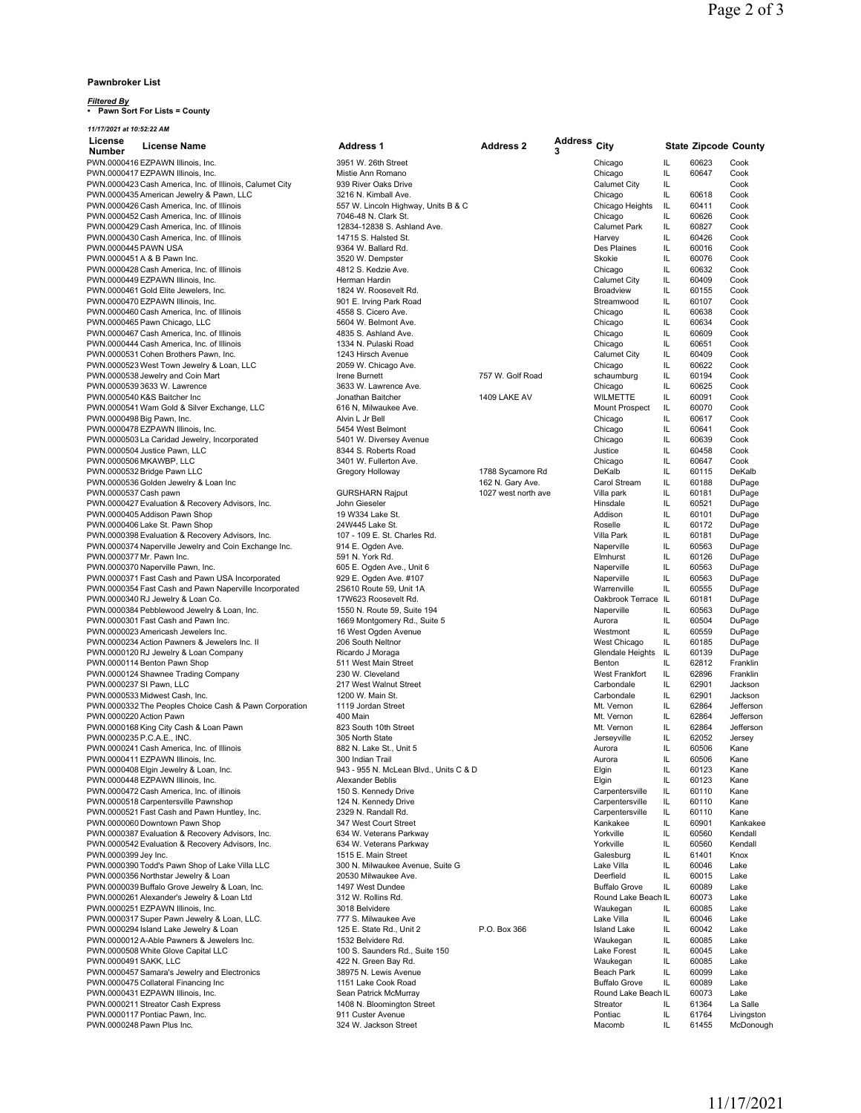#### **Pawnbroker List**

# *Filtered By* **• Pawn Sort For Lists = County**

*11/17/2021 at 10:52:22 AM*

| License                    | <b>License Name</b>                                      | <b>Address 1</b>                       | <b>Address 2</b>    | <b>Address</b> | City                  |     | <b>State Zipcode County</b> |            |
|----------------------------|----------------------------------------------------------|----------------------------------------|---------------------|----------------|-----------------------|-----|-----------------------------|------------|
| <b>Number</b>              |                                                          |                                        |                     | 3              |                       |     |                             |            |
|                            | PWN.0000416 EZPAWN Illinois, Inc.                        | 3951 W. 26th Street                    |                     |                | Chicago               | IL  | 60623                       | Cook       |
|                            | PWN.0000417 EZPAWN Illinois, Inc.                        | Mistie Ann Romano                      |                     |                | Chicago               | IL  | 60647                       | Cook       |
|                            | PWN.0000423 Cash America, Inc. of Illinois, Calumet City | 939 River Oaks Drive                   |                     |                | Calumet City          | IL. |                             | Cook       |
|                            | PWN.0000435 American Jewelry & Pawn, LLC                 | 3216 N. Kimball Ave.                   |                     |                | Chicago               | IL. | 60618                       | Cook       |
|                            | PWN.0000426 Cash America, Inc. of Illinois               | 557 W. Lincoln Highway, Units B & C    |                     |                | Chicago Heights       | IL  | 60411                       | Cook       |
|                            | PWN.0000452 Cash America, Inc. of Illinois               | 7046-48 N. Clark St.                   |                     |                | Chicago               | IL  | 60626                       | Cook       |
|                            | PWN.0000429 Cash America, Inc. of Illinois               | 12834-12838 S. Ashland Ave.            |                     |                | <b>Calumet Park</b>   | IL  | 60827                       | Cook       |
|                            | PWN.0000430 Cash America, Inc. of Illinois               | 14715 S. Halsted St.                   |                     |                | Harvey                | IL  | 60426                       | Cook       |
| PWN.0000445 PAWN USA       |                                                          | 9364 W. Ballard Rd.                    |                     |                | Des Plaines           | IL  | 60016                       | Cook       |
|                            | PWN.0000451 A & B Pawn Inc.                              | 3520 W. Dempster                       |                     |                | Skokie                | IL  | 60076                       | Cook       |
|                            | PWN.0000428 Cash America, Inc. of Illinois               | 4812 S. Kedzie Ave.                    |                     |                | Chicago               | IL  | 60632                       | Cook       |
|                            | PWN.0000449 EZPAWN Illinois, Inc.                        | Herman Hardin                          |                     |                | Calumet City          | IL  | 60409                       | Cook       |
|                            | PWN.0000461 Gold Elite Jewelers, Inc.                    | 1824 W. Roosevelt Rd.                  |                     |                | <b>Broadview</b>      | IL  | 60155                       | Cook       |
|                            | PWN.0000470 EZPAWN Illinois, Inc.                        | 901 E. Irving Park Road                |                     |                | Streamwood            | IL  | 60107                       | Cook       |
|                            | PWN.0000460 Cash America, Inc. of Illinois               | 4558 S. Cicero Ave.                    |                     |                | Chicago               | IL  | 60638                       | Cook       |
|                            | PWN.0000465 Pawn Chicago, LLC                            | 5604 W. Belmont Ave.                   |                     |                | Chicago               | IL  | 60634                       | Cook       |
|                            | PWN.0000467 Cash America, Inc. of Illinois               | 4835 S. Ashland Ave.                   |                     |                | Chicago               | IL  | 60609                       | Cook       |
|                            | PWN.0000444 Cash America, Inc. of Illinois               | 1334 N. Pulaski Road                   |                     |                | Chicago               | IL  | 60651                       | Cook       |
|                            | PWN.0000531 Cohen Brothers Pawn, Inc.                    | 1243 Hirsch Avenue                     |                     |                | Calumet City          | IL  | 60409                       | Cook       |
|                            | PWN.0000523 West Town Jewelry & Loan, LLC                | 2059 W. Chicago Ave.                   |                     |                | Chicago               | IL  | 60622                       | Cook       |
|                            | PWN.0000538 Jewelry and Coin Mart                        | Irene Burnett                          | 757 W. Golf Road    |                | schaumburg            | IL  | 60194                       | Cook       |
|                            | PWN.0000539 3633 W. Lawrence                             | 3633 W. Lawrence Ave.                  |                     |                | Chicago               | IL  | 60625                       | Cook       |
|                            | PWN.0000540 K&S Baitcher Inc                             | Jonathan Baitcher                      | 1409 LAKE AV        |                | WILMETTE              | IL  | 60091                       | Cook       |
|                            | PWN.0000541 Wam Gold & Silver Exchange, LLC              | 616 N, Milwaukee Ave.                  |                     |                | <b>Mount Prospect</b> | IL  | 60070                       | Cook       |
| PWN.0000498 Big Pawn, Inc. |                                                          | Alvin L Jr Bell                        |                     |                | Chicago               | IL. | 60617                       | Cook       |
|                            | PWN.0000478 EZPAWN Illinois, Inc.                        | 5454 West Belmont                      |                     |                | Chicago               | IL  | 60641                       | Cook       |
|                            | PWN.0000503 La Caridad Jewelry, Incorporated             | 5401 W. Diversey Avenue                |                     |                | Chicago               | IL  | 60639                       | Cook       |
|                            | PWN.0000504 Justice Pawn, LLC                            | 8344 S. Roberts Road                   |                     |                | Justice               | IL  | 60458                       | Cook       |
|                            | PWN.0000506 MKAWBP, LLC                                  | 3401 W. Fullerton Ave.                 |                     |                | Chicago               | IL  | 60647                       | Cook       |
|                            | PWN.0000532 Bridge Pawn LLC                              | Gregory Holloway                       | 1788 Sycamore Rd    |                | DeKalb                | IL  | 60115                       | DeKalb     |
|                            | PWN.0000536 Golden Jewelry & Loan Inc                    |                                        | 162 N. Gary Ave.    |                | Carol Stream          | IL  | 60188                       | DuPage     |
| PWN.0000537 Cash pawn      |                                                          | <b>GURSHARN Rajput</b>                 | 1027 west north ave |                | Villa park            | IL. | 60181                       | DuPage     |
|                            | PWN.0000427 Evaluation & Recovery Advisors, Inc.         | John Gieseler                          |                     |                | Hinsdale              | IL  | 60521                       | DuPage     |
|                            | PWN.0000405 Addison Pawn Shop                            | 19 W334 Lake St.                       |                     |                | Addison               | IL  | 60101                       | DuPage     |
|                            | PWN.0000406 Lake St. Pawn Shop                           | 24W445 Lake St.                        |                     |                | Roselle               | IL  | 60172                       | DuPage     |
|                            | PWN.0000398 Evaluation & Recovery Advisors, Inc.         | 107 - 109 E. St. Charles Rd.           |                     |                | Villa Park            | IL. | 60181                       | DuPage     |
|                            | PWN.0000374 Naperville Jewelry and Coin Exchange Inc.    | 914 E. Ogden Ave.                      |                     |                | Naperville            | IL  | 60563                       | DuPage     |
| PWN.0000377 Mr. Pawn Inc.  |                                                          | 591 N. York Rd.                        |                     |                | Elmhurst              | IL. | 60126                       | DuPage     |
|                            | PWN.0000370 Naperville Pawn, Inc.                        | 605 E. Ogden Ave., Unit 6              |                     |                | Naperville            | IL  | 60563                       | DuPage     |
|                            | PWN.0000371 Fast Cash and Pawn USA Incorporated          | 929 E. Ogden Ave. #107                 |                     |                | Naperville            | IL  | 60563                       | DuPage     |
|                            | PWN.0000354 Fast Cash and Pawn Naperville Incorporated   | 2S610 Route 59, Unit 1A                |                     |                | Warrenville           | IL. | 60555                       | DuPage     |
|                            | PWN.0000340 RJ Jewelry & Loan Co.                        | 17W623 Roosevelt Rd.                   |                     |                | Oakbrook Terrace      | IL  | 60181                       | DuPage     |
|                            | PWN.0000384 Pebblewood Jewelry & Loan, Inc.              | 1550 N. Route 59, Suite 194            |                     |                | Naperville            | IL. | 60563                       | DuPage     |
|                            | PWN.0000301 Fast Cash and Pawn Inc.                      | 1669 Montgomery Rd., Suite 5           |                     |                | Aurora                | IL  | 60504                       | DuPage     |
|                            | PWN.0000023 Americash Jewelers Inc.                      | 16 West Ogden Avenue                   |                     |                | Westmont              | IL  | 60559                       | DuPage     |
|                            | PWN.0000234 Action Pawners & Jewelers Inc. II            | 206 South Neltnor                      |                     |                | West Chicago          | IL  | 60185                       | DuPage     |
|                            | PWN.0000120 RJ Jewelry & Loan Company                    | Ricardo J Moraga                       |                     |                | Glendale Heights      | IL. | 60139                       | DuPage     |
|                            | PWN.0000114 Benton Pawn Shop                             | 511 West Main Street                   |                     |                | Benton                | IL  | 62812                       | Franklin   |
|                            | PWN.0000124 Shawnee Trading Company                      | 230 W. Cleveland                       |                     |                | West Frankfort        | IL  | 62896                       | Franklin   |
| PWN.0000237 SI Pawn, LLC   |                                                          | 217 West Walnut Street                 |                     |                | Carbondale            | IL  | 62901                       | Jackson    |
|                            | PWN.0000533 Midwest Cash, Inc.                           | 1200 W. Main St.                       |                     |                | Carbondale            | IL  | 62901                       | Jackson    |
|                            | PWN.0000332 The Peoples Choice Cash & Pawn Corporation   | 1119 Jordan Street                     |                     |                | Mt. Vernon            | IL  | 62864                       | Jefferson  |
| PWN.0000220 Action Pawn    |                                                          | 400 Main                               |                     |                | Mt. Vernon            | IL  | 62864                       | Jefferson  |
|                            | PWN.0000168 King City Cash & Loan Pawn                   | 823 South 10th Street                  |                     |                | Mt. Vernon            | IL  | 62864                       | Jefferson  |
| PWN.0000235 P.C.A.E., INC. |                                                          | 305 North State                        |                     |                | Jerseyville           | IL  | 62052                       | Jersey     |
|                            | PWN.0000241 Cash America, Inc. of Illinois               | 882 N. Lake St., Unit 5                |                     |                | Aurora                | IL  | 60506                       | Kane       |
|                            | PWN.0000411 EZPAWN Illinois, Inc.                        | 300 Indian Trail                       |                     |                | Aurora                | IL. | 60506                       | Kane       |
|                            | PWN.0000408 Elgin Jewelry & Loan, Inc.                   | 943 - 955 N. McLean Blvd., Units C & D |                     |                | Elgin                 | IL  | 60123                       | Kane       |
|                            | PWN.0000448 EZPAWN Illinois, Inc.                        | Alexander Beblis                       |                     |                | Elgin                 | IL  | 60123                       | Kane       |
|                            | PWN.0000472 Cash America. Inc. of illinois               | 150 S. Kennedy Drive                   |                     |                | Carpentersville       | IL. | 60110                       | Kane       |
|                            | PWN.0000518 Carpentersville Pawnshop                     | 124 N. Kennedy Drive                   |                     |                | Carpentersville       | IL. | 60110                       | Kane       |
|                            | PWN.0000521 Fast Cash and Pawn Huntley, Inc.             | 2329 N. Randall Rd.                    |                     |                | Carpentersville       | IL  | 60110                       | Kane       |
|                            | PWN.0000060 Downtown Pawn Shop                           | 347 West Court Street                  |                     |                | Kankakee              | IL  | 60901                       | Kankakee   |
|                            | PWN.0000387 Evaluation & Recovery Advisors, Inc.         | 634 W. Veterans Parkway                |                     |                | Yorkville             | IL. | 60560                       | Kendall    |
|                            | PWN.0000542 Evaluation & Recovery Advisors, Inc.         | 634 W. Veterans Parkway                |                     |                | Yorkville             | IL. | 60560                       | Kendall    |
| PWN.0000399 Jey Inc.       |                                                          | 1515 E. Main Street                    |                     |                | Galesburg             | IL  | 61401                       | Knox       |
|                            | PWN.0000390 Todd's Pawn Shop of Lake Villa LLC           | 300 N. Milwaukee Avenue, Suite G       |                     |                | Lake Villa            | IL  | 60046                       | Lake       |
|                            | PWN.0000356 Northstar Jewelry & Loan                     | 20530 Milwaukee Ave.                   |                     |                | Deerfield             | IL  | 60015                       | Lake       |
|                            | PWN.0000039 Buffalo Grove Jewelry & Loan, Inc.           | 1497 West Dundee                       |                     |                | <b>Buffalo Grove</b>  | IL  | 60089                       | Lake       |
|                            | PWN.0000261 Alexander's Jewelry & Loan Ltd               | 312 W. Rollins Rd.                     |                     |                | Round Lake Beach IL   |     | 60073                       | Lake       |
|                            | PWN.0000251 EZPAWN Illinois, Inc.                        | 3018 Belvidere                         |                     |                | Waukegan              | IL. | 60085                       | Lake       |
|                            | PWN.0000317 Super Pawn Jewelry & Loan, LLC.              | 777 S. Milwaukee Ave                   |                     |                | Lake Villa            | IL  | 60046                       | Lake       |
|                            | PWN.0000294 Island Lake Jewelry & Loan                   | 125 E. State Rd., Unit 2               | P.O. Box 366        |                | <b>Island Lake</b>    | IL  | 60042                       | Lake       |
|                            | PWN.0000012 A-Able Pawners & Jewelers Inc.               | 1532 Belvidere Rd.                     |                     |                | Waukegan              | IL  | 60085                       | Lake       |
|                            | PWN.0000508 White Glove Capital LLC                      | 100 S. Saunders Rd., Suite 150         |                     |                | Lake Forest           | IL  | 60045                       | Lake       |
| PWN.0000491 SAKK, LLC      |                                                          | 422 N. Green Bay Rd.                   |                     |                | Waukegan              | IL  | 60085                       | Lake       |
|                            | PWN.0000457 Samara's Jewelry and Electronics             | 38975 N. Lewis Avenue                  |                     |                | Beach Park            | IL  | 60099                       | Lake       |
|                            | PWN.0000475 Collateral Financing Inc                     | 1151 Lake Cook Road                    |                     |                | <b>Buffalo Grove</b>  | IL  | 60089                       | Lake       |
|                            | PWN.0000431 EZPAWN Illinois, Inc.                        | Sean Patrick McMurray                  |                     |                | Round Lake Beach IL   |     | 60073                       | Lake       |
|                            | PWN.0000211 Streator Cash Express                        | 1408 N. Bloomington Street             |                     |                | Streator              | IL  | 61364                       | La Salle   |
|                            | PWN.0000117 Pontiac Pawn, Inc.                           | 911 Custer Avenue                      |                     |                | Pontiac               | IL  | 61764                       | Livingston |
| PWN.0000248 Pawn Plus Inc. |                                                          | 324 W. Jackson Street                  |                     |                | Macomb                | IL  | 61455                       | McDonough  |
|                            |                                                          |                                        |                     |                |                       |     |                             |            |